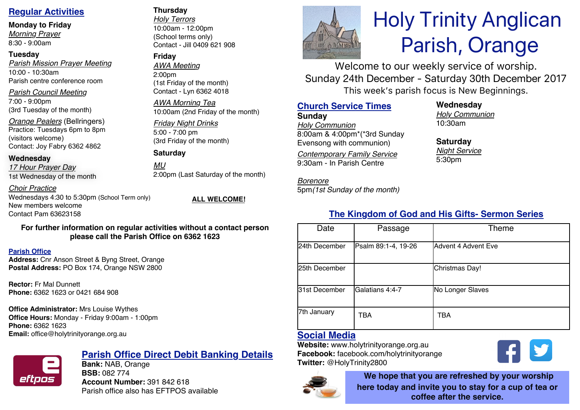# **Regular Activities**

**Monday to Friday**

*Morning Prayer* 8:30 - 9:00am

### **Tuesday**

*Parish Mission Prayer Meeting* 10:00 - 10:30am Parish centre conference room

*Parish Council Meeting* 7:00 - 9:00pm

(3rd Tuesday of the month)

*Orange Pealers* (Bellringers) Practice: Tuesdays 6pm to 8pm (visitors welcome) Contact: Joy Fabry 6362 4862

### **Wednesday**

*17 Hour Prayer Day* 1st Wednesday of the month

*Choir Practice*

Wednesdays 4:30 to 5:30pm (School Term only) New members welcome Contact Pam 63623158

**ALL WELCOME!**

### **For further information on regular activities without a contact person please call the Parish Office on 6362 1623**

### **Parish Office**

**Address:** Cnr Anson Street & Byng Street, Orange **Postal Address:** PO Box 174, Orange NSW 2800

**Rector:** Fr Mal Dunnett **Phone:** 6362 1623 or 0421 684 908

## **Office Administrator:** Mrs Louise Wythes

**Office Hours:** Monday - Friday 9:00am - 1:00pm **Phone:** 6362 1623 **Email:** office@holytrinityorange.org.au



# **Parish Office Direct Debit Banking Details**

**Bank:** NAB, Orange **BSB:** 082 774 **Account Number:** 391 842 618 Parish office also has EFTPOS available

### **Thursday**

*Holy Terrors* 10:00am - 12:00pm (School terms only) Contact - Jill 0409 621 908

## **Friday**

*AWA Meeting* 2:00pm (1st Friday of the month) Contact - Lyn 6362 4018

*AWA Morning Tea* 10:00am (2nd Friday of the month)

### *Friday Night Drinks* 5:00 - 7:00 pm (3rd Friday of the month)

**Saturday**

*MU* 2:00pm (Last Saturday of the month)

# **The Kingdom of God and His Gifts- Sermon Series**

| Date          | Passage             | Theme               |
|---------------|---------------------|---------------------|
| 24th December | Psalm 89:1-4, 19-26 | Advent 4 Advent Eve |
| 25th December |                     | Christmas Day!      |
| 31st December | Galatians 4:4-7     | No Longer Slaves    |
| 7th January   | TBA                 | TBA                 |

# **Social Media**

**Website:** www.holytrinityorange.org.au **Facebook:** facebook.com/holytrinityorange **Twitter:** @HolyTrinity2800



**We hope that you are refreshed by your worship here today and invite you to stay for a cup of tea or coffee after the service.**

V



# Holy Trinity Anglican Parish, Orange

Welcome to our weekly service of worship. Sunday 24th December - Saturday 30th December 2017 This week's parish focus is New Beginnings.

# **Church Service Times**

**Sunday** *Holy Communion* 8:00am & 4:00pm\*(\*3rd Sunday Evensong with communion)

*Contemporary Family Service* 9:30am - In Parish Centre

5pm*(1st Sunday of the month)*

*Borenore* 

**Wednesday**

*Holy Communion* 10:30am

**Saturday** *Night Service* 5:30pm